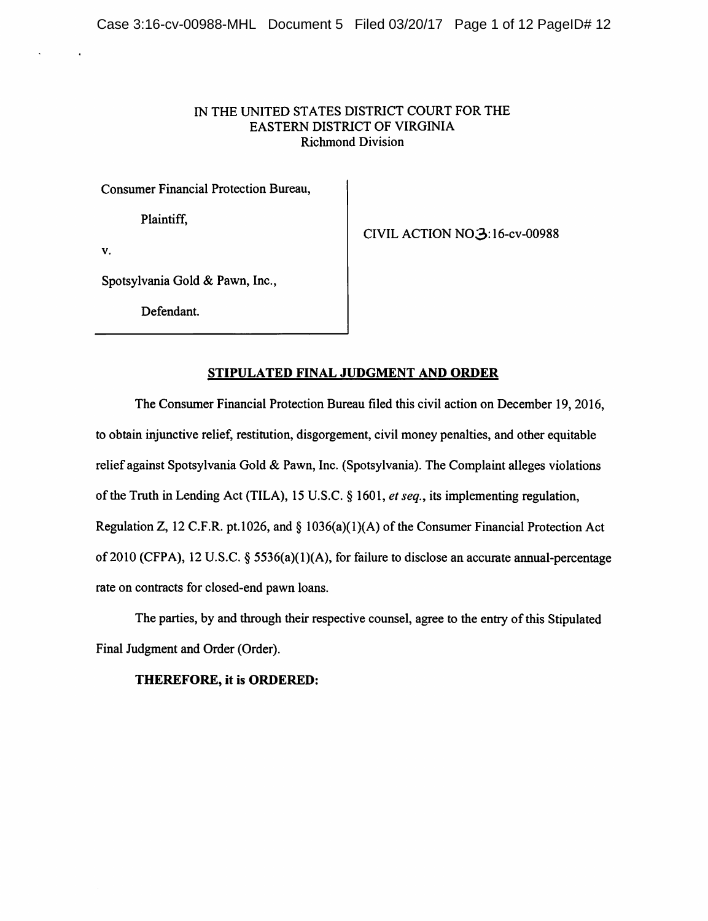# IN THE UNITED STATES DISTRICT COURT FOR THE EASTERN DISTRICT OF VIRGINIA Richmond Division

Consumer Financial Protection Bureau,

Plaintiff,

CIVIL ACTION N03:16-cv-00988

V.

Spotsylvania Gold & Pawn, Inc.,

Defendant.

# STIPULATED FINAL JUDGMENT AND ORDER

The Consumer Financial Protection Bureau filed this civil action on December 19, 2016, to obtain injunctive relief, restitution, disgorgement, civil money penalties, and other equitable relief against Spotsylvania Gold & Pawn, Inc. (Spotsylvania). The Complaint alleges violations of the Truth in Lending Act (TILA), 15 U.S.C. § 1601, et seq., its implementing regulation, Regulation Z, 12 C.F.R. pt.1026, and  $\S$  1036(a)(1)(A) of the Consumer Financial Protection Act of 2010 (CFPA), 12 U.S.C. § 5536(a)(1)(A), for failure to disclose an accurate annual-percentage rate on contracts for closed-end pawn loans.

The parties, by and through their respective counsel, agree to the entry of this Stipulated Final Judgment and Order (Order).

THEREFORE, it is ORDERED: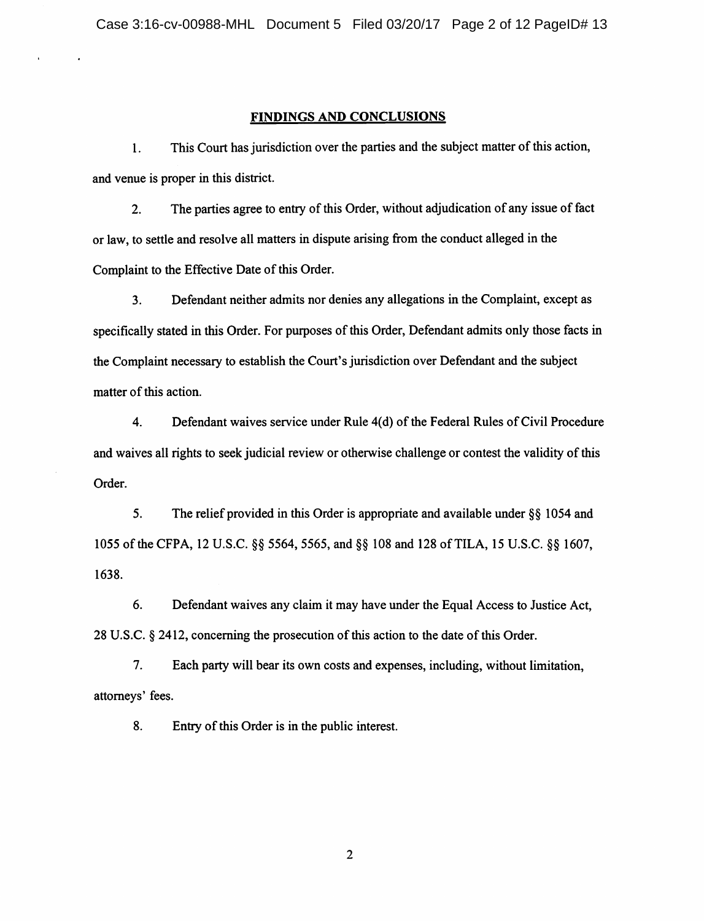#### FINDINGS AND CONCLUSIONS

1. This Court has jurisdiction over the parties and the subject matter of this action, and venue is proper in this district.

2. The parties agree to entry of this Order, without adjudication of any issue of fact or law, to settle and resolve all matters in dispute arising from the conduct alleged in the Complaint to the Effective Date of this Order.

3. Defendant neither admits nor denies any allegations in the Complaint, except as specifically stated in this Order. For purposes of this Order, Defendant admits only those facts in the Complaint necessary to establish the Court's jurisdiction over Defendant and the subject matter of this action.

4. Defendant waives service under Rule 4(d) of the Federal Rules of Civil Procedure and waives all rights to seek judicial review or otherwise challenge or contest the validity of this Order.

5. The relief provided in this Order is appropriate and available under §§ 1054 and 1055 ofthe CFPA, 12 U.S.C. §§ 5564, 5565, and §§ 108 and 128 ofTILA, 15 U.S.C. §§ 1607, 1638.

6. Defendant waives any claim it may have under the Equal Access to Justice Act, 28 U.S.C. § 2412, concerning the prosecution of this action to the date of this Order.

7. Each party will bear its own costs and expenses, including, without limitation, attorneys' fees.

8. Entry of this Order is in the public interest.

 $\overline{2}$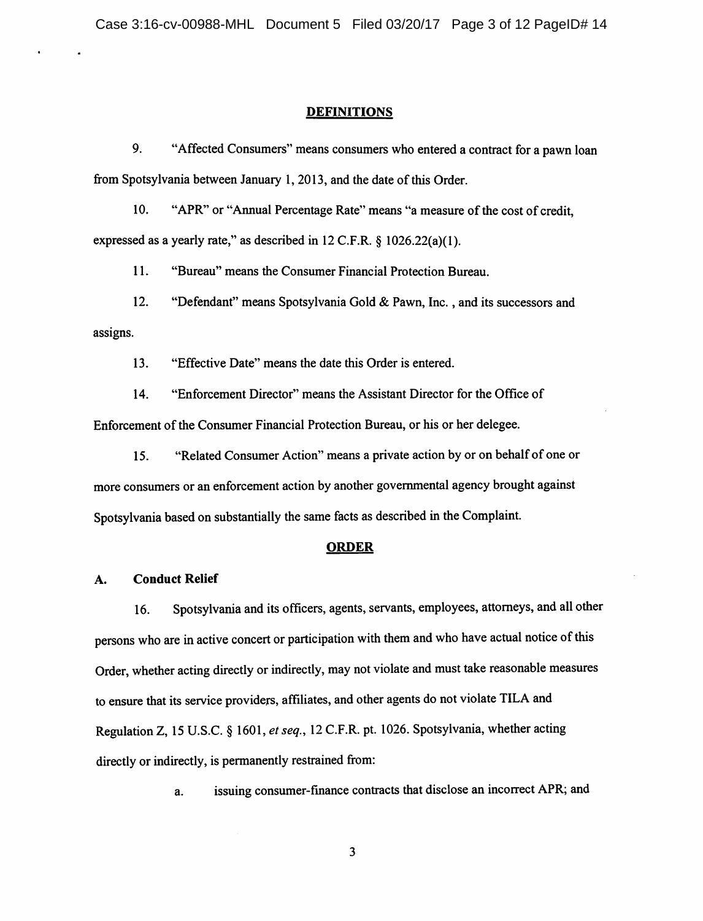#### **DEFINITIONS**

9. "Affected Consumers" means consumers who entered a contract for a pawn loan from Spotsylvania between January 1, 2013, and the date of this Order.

10. "APR" or "Annual Percentage Rate" means "a measure of the cost of credit, expressed as a yearly rate," as described in 12 C.F.R. § 1026.22(a)(1).

11. "Bureau" means the Consumer Financial Protection Bureau.

12. "Defendant" means Spotsylvania Gold & Pawn, Inc., and its successors and assigns.

13. "Effective Date" means the date this Order is entered.

14. "Enforcement Director" means the Assistant Director for the Office of Enforcement of the Consumer Financial Protection Bureau, or his or her delegee.

15. "Related Consumer Action" means a private action by or on behalf of one or more consumers or an enforcement action by another governmental agency brought against Spotsylvania based on substantially the same facts as described in the Complaint.

#### ORDER

#### A. Conduct Relief

16. Spotsylvania and its officers, agents, servants, employees, attorneys, and all other persons who are in active concert or participation with them and who have actual notice of this Order, whether acting directly or indirectly, may not violate and must take reasonable measures to ensure that its service providers, affiliates, and other agents do not violate TILA and Regulation Z, 15 U.S.C. § 1601, et seq., 12 C.F.R. pt. 1026. Spotsylvania, whether acting directly or indirectly, is permanently restrained from:

a. issuing consumer-finance contracts that disclose an incorrect APR; and

3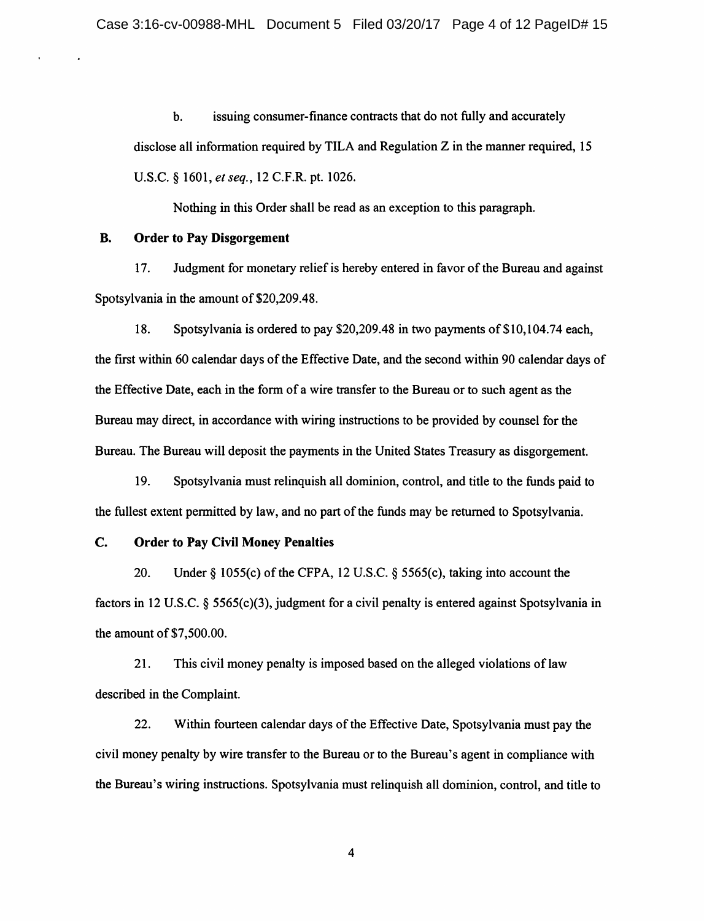b. issuing consumer-finance contracts that do not fully and accurately disclose all information required by TILA and Regulation Z in the manner required, 15 U.S.C. § 1601, et seq., 12 C.F.R. pt. 1026.

Nothing in this Order shall be read as an exception to this paragraph.

## B. Order to Pay Disgorgement

17. Judgment for monetary relief is hereby entered in favor of the Bureau and against Spotsylvania in the amount of \$20,209.48.

18. Spotsylvania is ordered to pay \$20,209.48 in two payments of \$ 10,104.74 each, the first within 60 calendar days of the Effective Date, and the second within 90 calendar days of the Effective Date, each in the form of a wire transfer to the Bureau or to such agent as the Bureau may direct, in accordance with wiring instructions to be provided by counsel for the Bureau. The Bureau will deposit the payments in the United States Treasury as disgorgement.

19. Spotsylvania must relinquish all dominion, control, and title to the funds paid to the fullest extent permitted by law, and no part of the funds may be returned to Spotsylvania.

## C. Order to Pay Civil Money Penalties

20. Under  $\S$  1055(c) of the CFPA, 12 U.S.C.  $\S$  5565(c), taking into account the factors in 12 U.S.C. § 5565(c)(3), judgment for a civil penalty is entered against Spotsylvania in the amount of \$7,500.00.

21. This civil money penalty is imposed based on the alleged violations of law described in the Complaint.

22. Within fourteen calendar days of the Effective Date, Spotsylvania must pay the civil money penalty by wire transfer to the Bureau or to the Bureau's agent in compliance with the Bureau's wiring instructions. Spotsylvania must relinquish all dominion, control, and title to

 $\overline{\mathbf{4}}$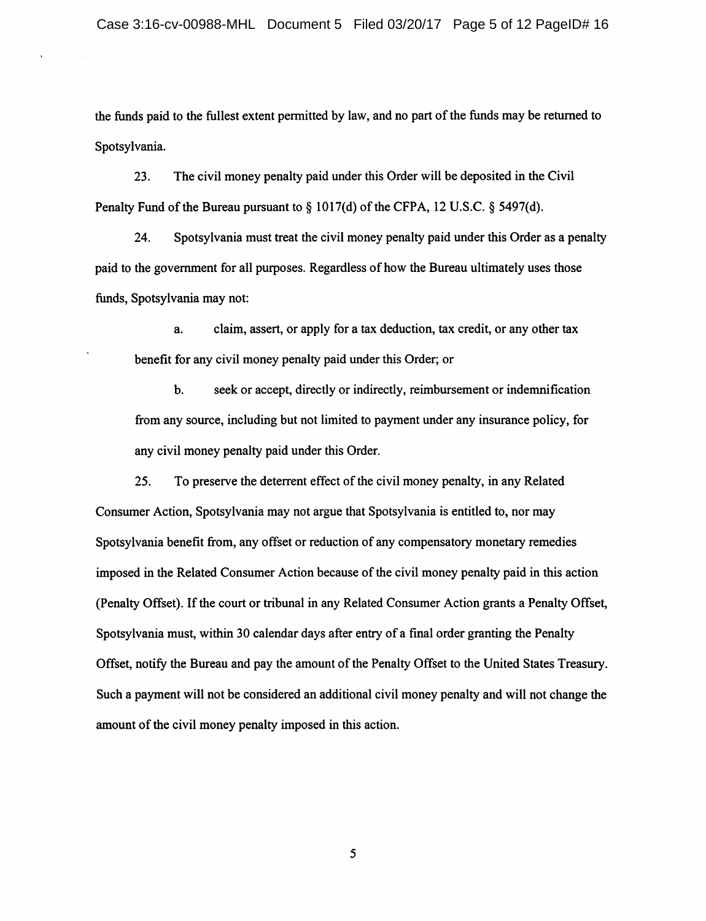the funds paid to the fullest extent permitted by law, and no part of the funds may be returned to Spotsylvania.

23. The civil money penalty paid under this Order will be deposited in the Civil Penalty Fund of the Bureau pursuant to  $\S$  1017(d) of the CFPA, 12 U.S.C.  $\S$  5497(d).

24. Spotsylvania must treat the civil money penalty paid under this Order as a penalty paid to the government for all purposes. Regardless of how the Bureau ultimately uses those funds, Spotsylvania may not:

a. claim, assert, or apply for a tax deduction, tax credit, or any other tax benefit for any civil money penalty paid under this Order; or

b. seek or accept, directly or indirectly, reimbursement or indemnification from any source, including but not limited to payment under any insurance policy, for any civil money penalty paid under this Order.

25. To preserve the deterrent effect of the civil money penalty, in any Related Consumer Action, Spotsylvania may not argue that Spotsylvania is entitled to, nor may Spotsylvania benefit from, any offset or reduction of any compensatory monetary remedies imposed in the Related Consumer Action because of the civil money penalty paid in this action (Penalty Offset). If the court or tribunal in any Related Consumer Action grants a Penalty Offset, Spotsylvania must, within 30 calendar days after entry of a final order granting the Penalty Offset, notify the Bureau and pay the amount of the Penalty Offset to the United States Treasury. Such a payment will not be considered an additional civil money penalty and will not change the amount of the civil money penalty imposed in this action.

 $5<sup>5</sup>$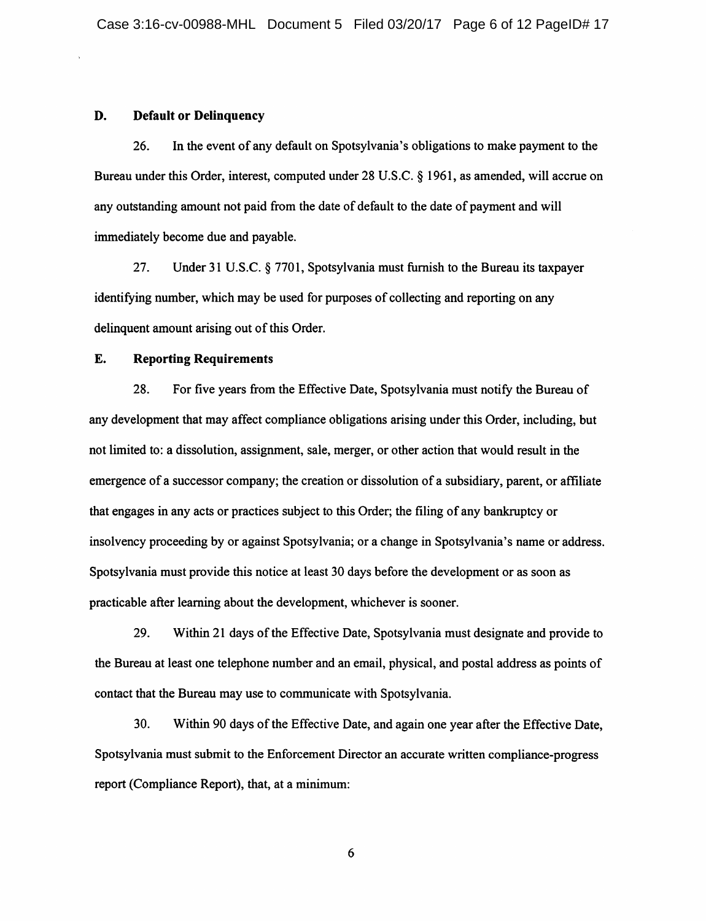#### D. Default or Delinquency

26. In the event of any default on Spotsyivania's obligations to make payment to the Bureau under this Order, interest, computed under 28 U.S.C. § 1961, as amended, will accrue on any outstanding amount not paid from the date of default to the date of payment and will immediately become due and payable.

27. Under 31 U.S.C. § 7701, Spotsylvania must furnish to the Bureau its taxpayer identifying number, which may be used for purposes of collecting and reporting on any delinquent amount arising out of this Order.

## E. Reporting Requirements

28. For five years from the Effective Date, Spotsylvania must notify the Bureau of any development that may affect compliance obligations arising under this Order, including, but not limited to: a dissolution, assignment, sale, merger, or other action that would result in the emergence of a successor company; the creation or dissolution of a subsidiary, parent, or affiliate that engages in any acts or practices subject to this Order; the filing of any bankruptcy or insolvency proceeding by or against Spotsylvania; or a change in Spotsyivania's name or address. Spotsylvania must provide this notice at least 30 days before the development or as soon as practicable after learning about the development, whichever is sooner.

29. Within 21 days of the Effective Date, Spotsylvania must designate and provide to the Bureau at least one telephone number and an email, physical, and postal address as points of contact that the Bureau may use to communicate with Spotsylvania.

30. Within 90 days ofthe Effective Date, and again one year after the Effective Date, Spotsylvania must submit to the Enforcement Director an accurate written compliance-progress report (Compliance Report), that, at a minimum:

6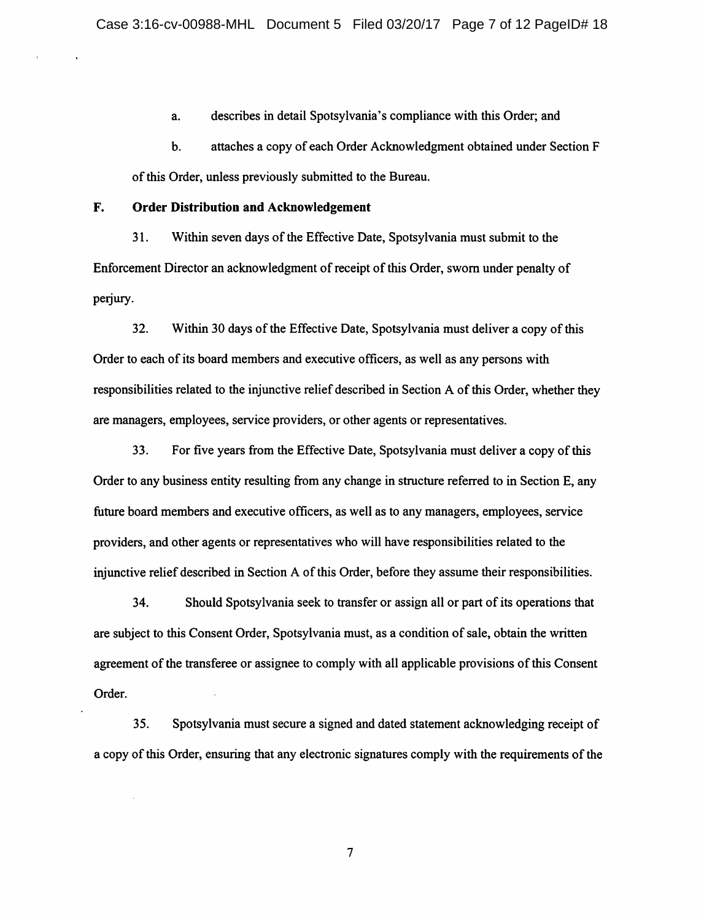a. describes in detail Spotsylvania's compliance with this Order; and

b. attaches a copy of each Order Acknowledgment obtained under Section F of this Order, unless previously submitted to the Bureau.

## F. Order Distribution and Acknowledgement

31. Within seven days of the Effective Date, Spotsylvania must submit to the Enforcement Director an acknowledgment of receipt of this Order, sworn under penalty of perjury.

32. Within 30 days of the Effective Date, Spotsylvania must deliver a copy of this Order to each of its board members and executive officers, as well as any persons with responsibilities related to the injunctive relief described in Section A of this Order, whether they are managers, employees, service providers, or other agents or representatives.

33. For five years from the Effective Date, Spotsylvania must deliver a copy ofthis Order to any business entity resulting from any change in structure referred to in Section E, any future board members and executive officers, as well as to any managers, employees, service providers, and other agents or representatives who will have responsibilities related to the injunctive relief described in Section A of this Order, before they assume their responsibilities.

34. Should Spotsylvania seek to transfer or assign all or part ofits operations that are subject to this Consent Order, Spotsylvania must, as a condition of sale, obtain the written agreement of the transferee or assignee to comply with all applicable provisions of this Consent Order.

35. Spotsylvania must secure a signed and dated statement acknowledging receipt of a copy of this Order, ensuring that any electronic signatures comply with the requirements of the

 $7\overline{ }$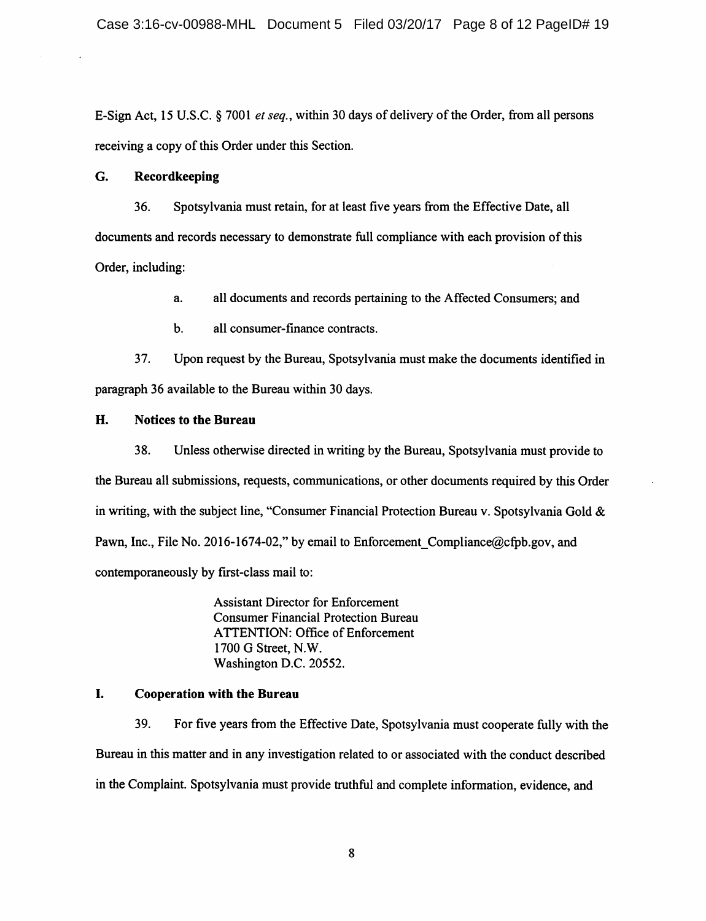E-Sign Act, 15 U.S.C. § 7001 *et seq.*, within 30 days of delivery of the Order, from all persons receiving a copy of this Order under this Section.

## G. Recordkeeping

36. Spotsylvania must retain, for at least five years from the Effective Date, all documents and records necessary to demonstrate full compliance with each provision ofthis Order, including:

a. all documents and records pertaining to the Affected Consumers; and

b. all consumer-finance contracts.

37. Upon request by the Bureau, Spotsylvania must make the documents identified in paragraph 36 available to the Bureau within 30 days.

# H. Notices to the Bureau

38. Unless otherwise directed in writing by the Bureau, Spotsylvania must provide to the Bureau all submissions, requests, communications, or other documents required by this Order in writing, with the subject line, "Consumer Financial Protection Bureau v. Spotsylvania Gold & Pawn, Inc., File No. 2016-1674-02," by email to Enforcement Compliance@cfpb.gov, and contemporaneously by first-class mail to:

> Assistant Director for Enforcement Consumer Financial Protection Bureau ATTENTION: Office of Enforcement 1700 G Street, N.W. Washington D.C. 20552.

# I. Cooperation with the Bureau

39. For five years from the Effective Date, Spotsylvania must cooperate fully with the Bureau in this matter and in any investigation related to or associated with the conduct described in the Complaint. Spotsylvania must provide truthful and complete information, evidence, and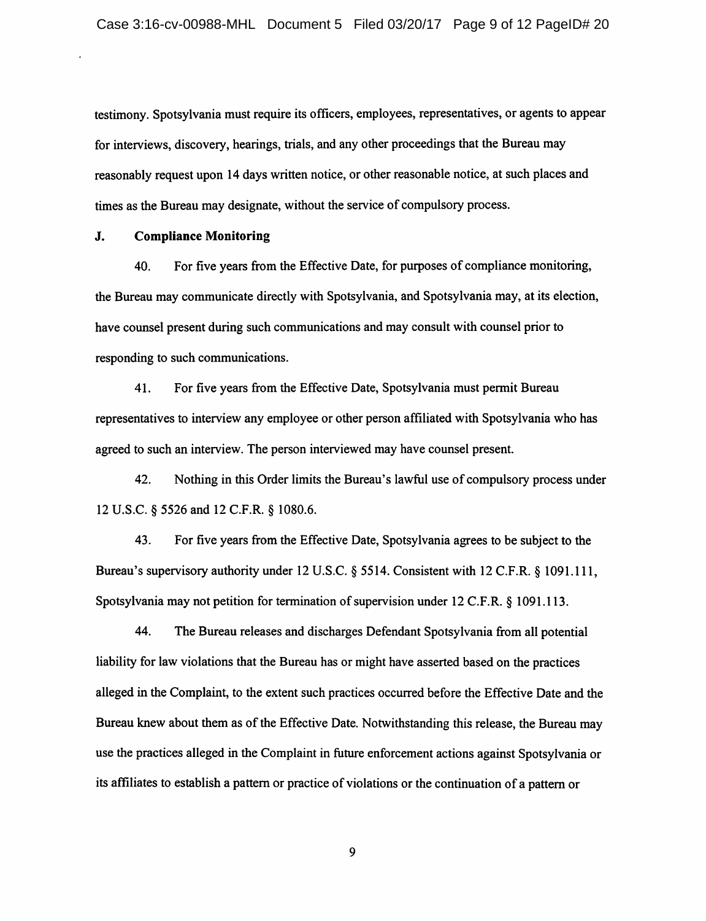testimony. Spotsylvania must require its officers, employees, representatives, or agents to appear for interviews, discovery, hearings, trials, and any other proceedings that the Bureau may reasonably request upon 14 days written notice, or other reasonable notice, at such places and times as the Bureau may designate, without the service of compulsory process.

#### J. Compliance Monitoring

40. For five years from the Effective Date, for purposes of compliance monitoring, the Bureau may communicate directly with Spotsylvania, and Spotsylvania may, at its election, have counsel present during such communications and may consult with counsel prior to responding to such communications.

41. For five years from the Effective Date, Spotsylvania must permit Bureau representatives to interview any employee or other person affiliated with Spotsylvania who has agreed to such an interview. The person interviewed may have counsel present.

42. Nothing in this Order limits the Bureau's lawful use of compulsory process under 12 U.S.C. § 5526 and 12 C.F.R. § 1080.6.

43. For five years from the Effective Date, Spotsylvania agrees to be subject to the Bureau's supervisory authority under 12 U.S.C. § 5514. Consistent with 12 C.F.R. § 1091.111, Spotsylvania may not petition for termination of supervision under 12 C.F.R. § 1091.113.

44. The Bureau releases and discharges Defendant Spotsylvania from all potential liability for law violations that the Bureau has or might have asserted based on the practices alleged in the Complaint, to the extent such practices occurred before the Effective Date and the Bureau knew about them as of the Effective Date. Notwithstanding this release, the Bureau may use the practices alleged in the Complaint in future enforcement actions against Spotsylvania or its affiliates to establish a pattern or practice of violations or the continuation of a pattern or

9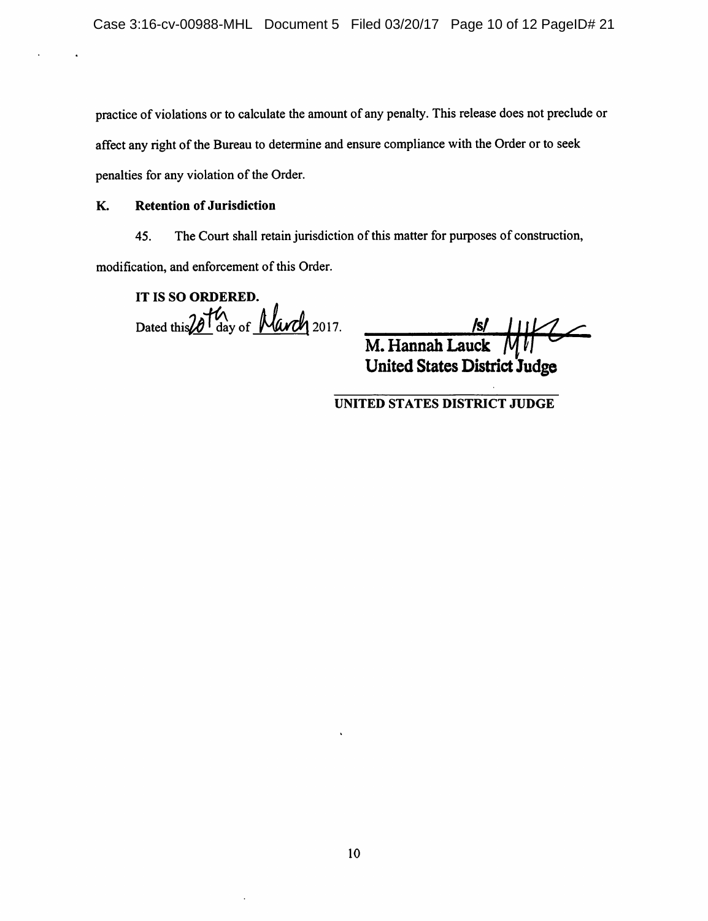practice of violations or to calculate the amount of any penalty. Thisrelease does not preclude or affect any right of the Bureau to determine and ensure compliance with the Order or to seek penalties for any violation of the Order.

## K. Retention of Jurisdiction

45. The Court shall retain jurisdiction of this matter for purposes of construction,

modification, and enforcement of this Order.

IT IS SO ORDERED. Dated this  $201\%$  day of March 2017.

 $M.$  Hannah Lauck  $M$ United States District Judge

UNITED STATES DISTRICT JUDGE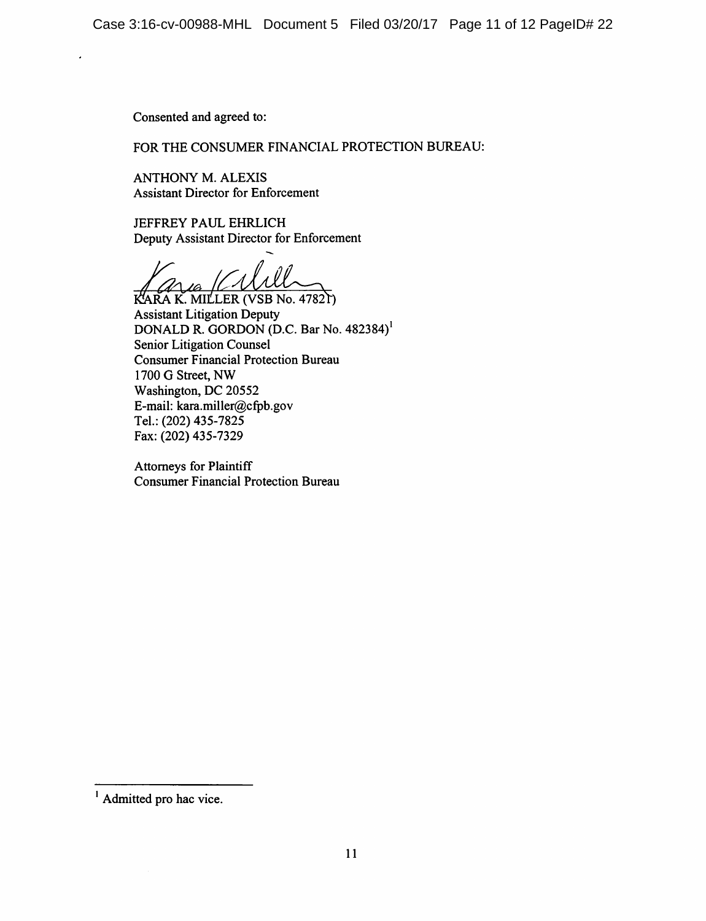Consented and agreed to:

FOR THE CONSUMER FINANCIAL PROTECTION BUREAU:

ANTHONY M. ALEXIS Assistant Director for Enforcement

JEFFREY PAUL EHRLICH Deputy Assistant Director for Enforcement

10

KARA K. MILLER (VSB No. 47821) Assistant Litigation Deputy DONALD R. GORDON (D.C. Bar No. 482384)' Senior Litigation Counsel Consumer Financial Protection Bureau 1700 G Street, NW Washington, DC 20552 E-mail: kara.miller@cfpb.gov Tel.: (202) 435-7825 Fax: (202) 435-7329

Attorneys for Plaintiff Consumer Financial Protection Bureau

Admitted pro hac vice.